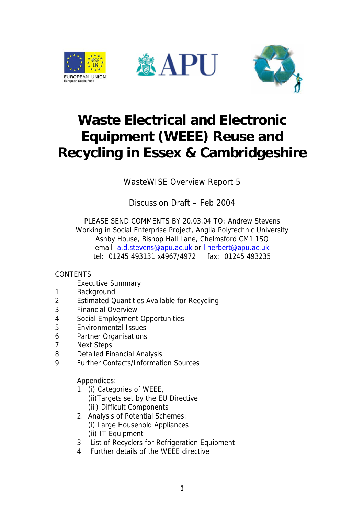





# **Waste Electrical and Electronic Equipment (WEEE) Reuse and Recycling in Essex & Cambridgeshire**

WasteWISE Overview Report 5

Discussion Draft – Feb 2004

PLEASE SEND COMMENTS BY 20.03.04 TO: Andrew Stevens Working in Social Enterprise Project, Anglia Polytechnic University Ashby House, Bishop Hall Lane, Chelmsford CM1 1SQ email a.d.stevens@apu.ac.uk or l.herbert@apu.ac.uk tel: 01245 493131 x4967/4972 fax: 01245 493235

# CONTENTS

- Executive Summary
- 1 Background
- 2 Estimated Quantities Available for Recycling
- 3 Financial Overview
- 4 Social Employment Opportunities
- 5 Environmental Issues
- 6 Partner Organisations
- 7 Next Steps
- 8 Detailed Financial Analysis
- 9 Further Contacts/Information Sources

Appendices:

- 1. (i) Categories of WEEE, (ii)Targets set by the EU Directive (iii) Difficult Components
- 2. Analysis of Potential Schemes: (i) Large Household Appliances (ii) IT Equipment
- 3 List of Recyclers for Refrigeration Equipment
- 4 Further details of the WEEE directive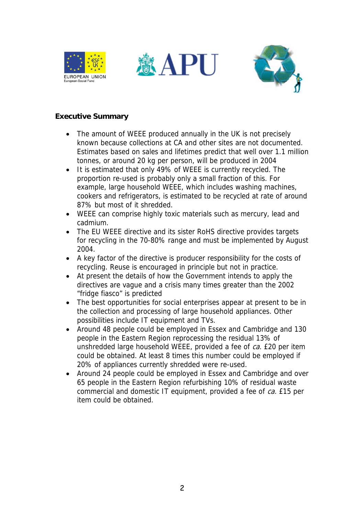





#### **Executive Summary**

- The amount of WEEE produced annually in the UK is not precisely known because collections at CA and other sites are not documented. Estimates based on sales and lifetimes predict that well over 1.1 million tonnes, or around 20 kg per person, will be produced in 2004
- It is estimated that only 49% of WEEE is currently recycled. The proportion re-used is probably only a small fraction of this. For example, large household WEEE, which includes washing machines, cookers and refrigerators, is estimated to be recycled at rate of around 87% but most of it shredded.
- WEEE can comprise highly toxic materials such as mercury, lead and cadmium.
- The EU WEEE directive and its sister RoHS directive provides targets for recycling in the 70-80% range and must be implemented by August 2004.
- A key factor of the directive is producer responsibility for the costs of recycling. Reuse is encouraged in principle but not in practice.
- At present the details of how the Government intends to apply the directives are vague and a crisis many times greater than the 2002 "fridge fiasco" is predicted
- The best opportunities for social enterprises appear at present to be in the collection and processing of large household appliances. Other possibilities include IT equipment and TVs.
- Around 48 people could be employed in Essex and Cambridge and 130 people in the Eastern Region reprocessing the residual 13% of unshredded large household WEEE, provided a fee of ca. £20 per item could be obtained. At least 8 times this number could be employed if 20% of appliances currently shredded were re-used.
- Around 24 people could be employed in Essex and Cambridge and over 65 people in the Eastern Region refurbishing 10% of residual waste commercial and domestic IT equipment, provided a fee of ca. £15 per item could be obtained.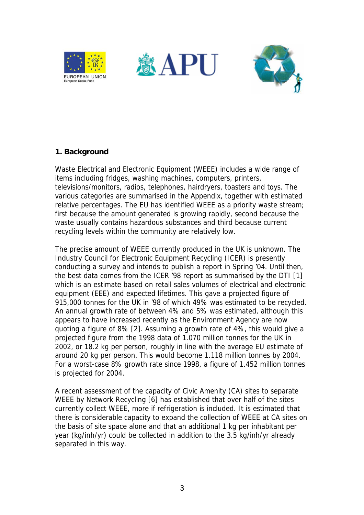





# **1. Background**

Waste Electrical and Electronic Equipment (WEEE) includes a wide range of items including fridges, washing machines, computers, printers, televisions/monitors, radios, telephones, hairdryers, toasters and toys. The various categories are summarised in the Appendix, together with estimated relative percentages. The EU has identified WEEE as a priority waste stream; first because the amount generated is growing rapidly, second because the waste usually contains hazardous substances and third because current recycling levels within the community are relatively low.

The precise amount of WEEE currently produced in the UK is unknown. The Industry Council for Electronic Equipment Recycling (ICER) is presently conducting a survey and intends to publish a report in Spring '04. Until then, the best data comes from the ICER '98 report as summarised by the DTI [1] which is an estimate based on retail sales volumes of electrical and electronic equipment (EEE) and expected lifetimes. This gave a projected figure of 915,000 tonnes for the UK in '98 of which 49% was estimated to be recycled. An annual growth rate of between 4% and 5% was estimated, although this appears to have increased recently as the Environment Agency are now quoting a figure of 8% [2]. Assuming a growth rate of 4%, this would give a projected figure from the 1998 data of 1.070 million tonnes for the UK in 2002, or 18.2 kg per person, roughly in line with the average EU estimate of around 20 kg per person. This would become 1.118 million tonnes by 2004. For a worst-case 8% growth rate since 1998, a figure of 1.452 million tonnes is projected for 2004.

A recent assessment of the capacity of Civic Amenity (CA) sites to separate WEEE by Network Recycling [6] has established that over half of the sites currently collect WEEE, more if refrigeration is included. It is estimated that there is considerable capacity to expand the collection of WEEE at CA sites on the basis of site space alone and that an additional 1 kg per inhabitant per year (kg/inh/yr) could be collected in addition to the 3.5 kg/inh/yr already separated in this way.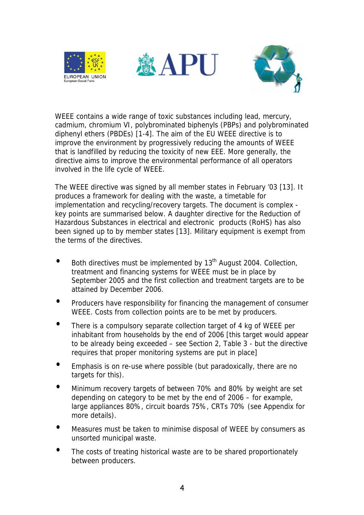





WEEE contains a wide range of toxic substances including lead, mercury, cadmium, chromium VI, polybrominated biphenyls (PBPs) and polybrominated diphenyl ethers (PBDEs) [1-4]. The aim of the EU WEEE directive is to improve the environment by progressively reducing the amounts of WEEE that is landfilled by reducing the toxicity of new EEE. More generally, the directive aims to improve the environmental performance of all operators involved in the life cycle of WEEE.

The WEEE directive was signed by all member states in February '03 [13]. It produces a framework for dealing with the waste, a timetable for implementation and recycling/recovery targets. The document is complex key points are summarised below. A daughter directive for the Reduction of Hazardous Substances in electrical and electronic products (RoHS) has also been signed up to by member states [13]. Military equipment is exempt from the terms of the directives.

- Both directives must be implemented by  $13<sup>th</sup>$  August 2004. Collection, treatment and financing systems for WEEE must be in place by September 2005 and the first collection and treatment targets are to be attained by December 2006.
- Producers have responsibility for financing the management of consumer WEEE. Costs from collection points are to be met by producers.
- There is a compulsory separate collection target of 4 kg of WEEE per inhabitant from households by the end of 2006 [this target would appear to be already being exceeded – see Section 2, Table 3 - but the directive requires that proper monitoring systems are put in place]
- Emphasis is on re-use where possible (but paradoxically, there are no targets for this).
- Minimum recovery targets of between 70% and 80% by weight are set depending on category to be met by the end of 2006 – for example, large appliances 80%, circuit boards 75%, CRTs 70% (see Appendix for more details).
- Measures must be taken to minimise disposal of WEEE by consumers as unsorted municipal waste.
- The costs of treating historical waste are to be shared proportionately between producers.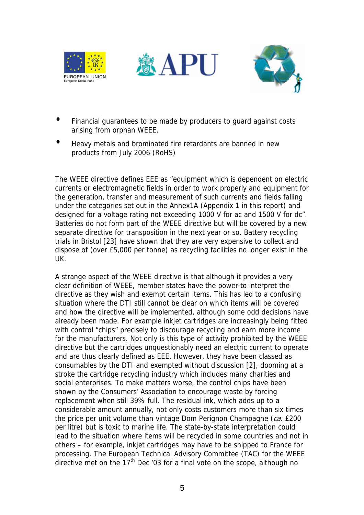





- Financial guarantees to be made by producers to guard against costs arising from orphan WEEE.
- Heavy metals and brominated fire retardants are banned in new products from July 2006 (RoHS)

The WEEE directive defines EEE as "equipment which is dependent on electric currents or electromagnetic fields in order to work properly and equipment for the generation, transfer and measurement of such currents and fields falling under the categories set out in the Annex1A (Appendix 1 in this report) and designed for a voltage rating not exceeding 1000 V for ac and 1500 V for dc". Batteries do not form part of the WEEE directive but will be covered by a new separate directive for transposition in the next year or so. Battery recycling trials in Bristol [23] have shown that they are very expensive to collect and dispose of (over £5,000 per tonne) as recycling facilities no longer exist in the UK.

A strange aspect of the WEEE directive is that although it provides a very clear definition of WEEE, member states have the power to interpret the directive as they wish and exempt certain items. This has led to a confusing situation where the DTI still cannot be clear on which items will be covered and how the directive will be implemented, although some odd decisions have already been made. For example inkjet cartridges are increasingly being fitted with control "chips" precisely to discourage recycling and earn more income for the manufacturers. Not only is this type of activity prohibited by the WEEE directive but the cartridges unquestionably need an electric current to operate and are thus clearly defined as EEE. However, they have been classed as consumables by the DTI and exempted without discussion [2], dooming at a stroke the cartridge recycling industry which includes many charities and social enterprises. To make matters worse, the control chips have been shown by the Consumers' Association to encourage waste by forcing replacement when still 39% full. The residual ink, which adds up to a considerable amount annually, not only costs customers more than six times the price per unit volume than vintage Dom Perignon Champagne  $(ca. £200$ per litre) but is toxic to marine life. The state-by-state interpretation could lead to the situation where items will be recycled in some countries and not in others – for example, inkjet cartridges may have to be shipped to France for processing. The European Technical Advisory Committee (TAC) for the WEEE directive met on the  $17<sup>th</sup>$  Dec '03 for a final vote on the scope, although no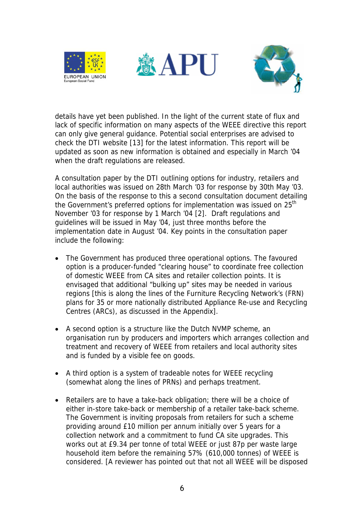





details have yet been published. In the light of the current state of flux and lack of specific information on many aspects of the WEEE directive this report can only give general guidance. Potential social enterprises are advised to check the DTI website [13] for the latest information. This report will be updated as soon as new information is obtained and especially in March '04 when the draft regulations are released.

A consultation paper by the DTI outlining options for industry, retailers and local authorities was issued on 28th March '03 for response by 30th May '03. On the basis of the response to this a second consultation document detailing the Government's preferred options for implementation was issued on 25<sup>th</sup> November '03 for response by 1 March '04 [2]. Draft regulations and guidelines will be issued in May '04, just three months before the implementation date in August '04. Key points in the consultation paper include the following:

- The Government has produced three operational options. The favoured option is a producer-funded "clearing house" to coordinate free collection of domestic WEEE from CA sites and retailer collection points. It is envisaged that additional "bulking up" sites may be needed in various regions [this is along the lines of the Furniture Recycling Network's (FRN) plans for 35 or more nationally distributed Appliance Re-use and Recycling Centres (ARCs), as discussed in the Appendix].
- A second option is a structure like the Dutch NVMP scheme, an organisation run by producers and importers which arranges collection and treatment and recovery of WEEE from retailers and local authority sites and is funded by a visible fee on goods.
- A third option is a system of tradeable notes for WEEE recycling (somewhat along the lines of PRNs) and perhaps treatment.
- Retailers are to have a take-back obligation; there will be a choice of either in-store take-back or membership of a retailer take-back scheme. The Government is inviting proposals from retailers for such a scheme providing around £10 million per annum initially over 5 years for a collection network and a commitment to fund CA site upgrades. This works out at £9.34 per tonne of total WEEE or just 87p per waste large household item before the remaining 57% (610,000 tonnes) of WEEE is considered. [A reviewer has pointed out that not all WEEE will be disposed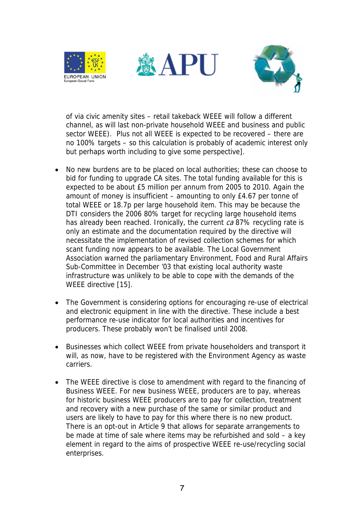





of via civic amenity sites – retail takeback WEEE will follow a different channel, as will last non-private household WEEE and business and public sector WEEE). Plus not all WEEE is expected to be recovered – there are no 100% targets – so this calculation is probably of academic interest only but perhaps worth including to give some perspective].

- No new burdens are to be placed on local authorities; these can choose to bid for funding to upgrade CA sites. The total funding available for this is expected to be about £5 million per annum from 2005 to 2010. Again the amount of money is insufficient – amounting to only £4.67 per tonne of total WEEE or 18.7p per large household item. This may be because the DTI considers the 2006 80% target for recycling large household items has already been reached. Ironically, the current ca 87% recycling rate is only an estimate and the documentation required by the directive will necessitate the implementation of revised collection schemes for which scant funding now appears to be available. The Local Government Association warned the parliamentary Environment, Food and Rural Affairs Sub-Committee in December '03 that existing local authority waste infrastructure was unlikely to be able to cope with the demands of the WEEE directive [15].
- The Government is considering options for encouraging re-use of electrical and electronic equipment in line with the directive. These include a best performance re-use indicator for local authorities and incentives for producers. These probably won't be finalised until 2008.
- Businesses which collect WEEE from private householders and transport it will, as now, have to be registered with the Environment Agency as waste carriers.
- The WEEE directive is close to amendment with regard to the financing of Business WEEE. For new business WEEE, producers are to pay, whereas for historic business WEEE producers are to pay for collection, treatment and recovery with a new purchase of the same or similar product and users are likely to have to pay for this where there is no new product. There is an opt-out in Article 9 that allows for separate arrangements to be made at time of sale where items may be refurbished and sold – a key element in regard to the aims of prospective WEEE re-use/recycling social enterprises.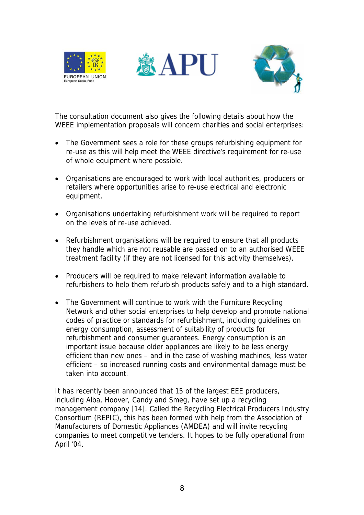





The consultation document also gives the following details about how the WEEE implementation proposals will concern charities and social enterprises:

- The Government sees a role for these groups refurbishing equipment for re-use as this will help meet the WEEE directive's requirement for re-use of whole equipment where possible.
- Organisations are encouraged to work with local authorities, producers or retailers where opportunities arise to re-use electrical and electronic equipment.
- Organisations undertaking refurbishment work will be required to report on the levels of re-use achieved.
- Refurbishment organisations will be required to ensure that all products they handle which are not reusable are passed on to an authorised WEEE treatment facility (if they are not licensed for this activity themselves).
- Producers will be required to make relevant information available to refurbishers to help them refurbish products safely and to a high standard.
- The Government will continue to work with the Furniture Recycling Network and other social enterprises to help develop and promote national codes of practice or standards for refurbishment, including guidelines on energy consumption, assessment of suitability of products for refurbishment and consumer guarantees. Energy consumption is an important issue because older appliances are likely to be less energy efficient than new ones – and in the case of washing machines, less water efficient – so increased running costs and environmental damage must be taken into account.

It has recently been announced that 15 of the largest EEE producers, including Alba, Hoover, Candy and Smeg, have set up a recycling management company [14]. Called the Recycling Electrical Producers Industry Consortium (REPIC), this has been formed with help from the Association of Manufacturers of Domestic Appliances (AMDEA) and will invite recycling companies to meet competitive tenders. It hopes to be fully operational from April '04.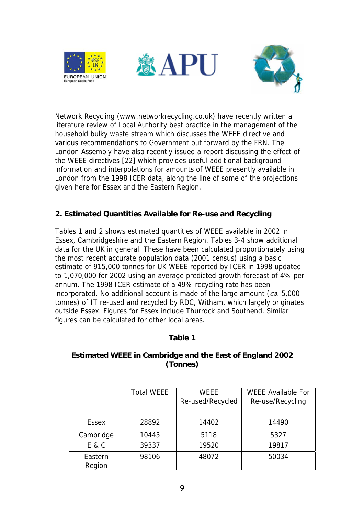





Network Recycling (www.networkrecycling.co.uk) have recently written a literature review of Local Authority best practice in the management of the household bulky waste stream which discusses the WEEE directive and various recommendations to Government put forward by the FRN. The London Assembly have also recently issued a report discussing the effect of the WEEE directives [22] which provides useful additional background information and interpolations for amounts of WEEE presently available in London from the 1998 ICER data, along the line of some of the projections given here for Essex and the Eastern Region.

# **2. Estimated Quantities Available for Re-use and Recycling**

Tables 1 and 2 shows estimated quantities of WEEE available in 2002 in Essex, Cambridgeshire and the Eastern Region. Tables 3-4 show additional data for the UK in general. These have been calculated proportionately using the most recent accurate population data (2001 census) using a basic estimate of 915,000 tonnes for UK WEEE reported by ICER in 1998 updated to 1,070,000 for 2002 using an average predicted growth forecast of 4% per annum. The 1998 ICER estimate of a 49% recycling rate has been incorporated. No additional account is made of the large amount  $(ca. 5,000$ tonnes) of IT re-used and recycled by RDC, Witham, which largely originates outside Essex. Figures for Essex include Thurrock and Southend. Similar figures can be calculated for other local areas.

#### **Table 1**

#### **Estimated WEEE in Cambridge and the East of England 2002 (Tonnes)**

|                   | <b>Total WEEE</b> | <b>WEEE</b><br>Re-used/Recycled | <b>WEEE Available For</b><br>Re-use/Recycling |
|-------------------|-------------------|---------------------------------|-----------------------------------------------|
| <b>Essex</b>      | 28892             | 14402                           | 14490                                         |
| Cambridge         | 10445             | 5118                            | 5327                                          |
| E & C             | 39337             | 19520                           | 19817                                         |
| Eastern<br>Region | 98106             | 48072                           | 50034                                         |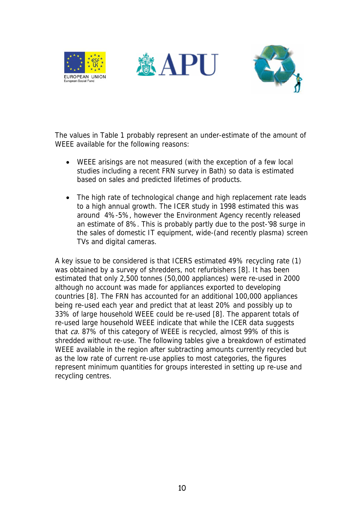





The values in Table 1 probably represent an under-estimate of the amount of WEEE available for the following reasons:

- WEEE arisings are not measured (with the exception of a few local studies including a recent FRN survey in Bath) so data is estimated based on sales and predicted lifetimes of products.
- The high rate of technological change and high replacement rate leads to a high annual growth. The ICER study in 1998 estimated this was around 4%-5%, however the Environment Agency recently released an estimate of 8%. This is probably partly due to the post-'98 surge in the sales of domestic IT equipment, wide-(and recently plasma) screen TVs and digital cameras.

A key issue to be considered is that ICERS estimated 49% recycling rate (1) was obtained by a survey of shredders, not refurbishers [8]. It has been estimated that only 2,500 tonnes (50,000 appliances) were re-used in 2000 although no account was made for appliances exported to developing countries [8]. The FRN has accounted for an additional 100,000 appliances being re-used each year and predict that at least 20% and possibly up to 33% of large household WEEE could be re-used [8]. The apparent totals of re-used large household WEEE indicate that while the ICER data suggests that ca. 87% of this category of WEEE is recycled, almost 99% of this is shredded without re-use. The following tables give a breakdown of estimated WEEE available in the region after subtracting amounts currently recycled but as the low rate of current re-use applies to most categories, the figures represent minimum quantities for groups interested in setting up re-use and recycling centres.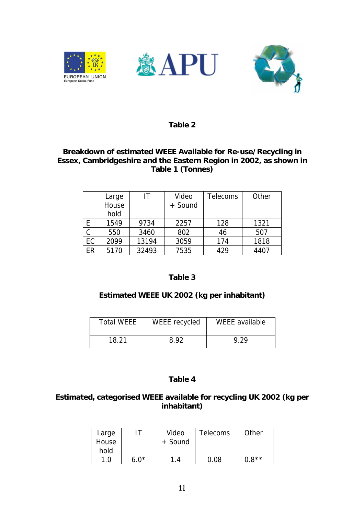





#### **Table 2**

## **Breakdown of estimated WEEE Available for Re-use/Recycling in Essex, Cambridgeshire and the Eastern Region in 2002, as shown in Table 1 (Tonnes)**

|    | Large | IT    | Video   | Telecoms | Other |
|----|-------|-------|---------|----------|-------|
|    | House |       | + Sound |          |       |
|    | hold  |       |         |          |       |
| E  | 1549  | 9734  | 2257    | 128      | 1321  |
|    | 550   | 3460  | 802     | 46       | 507   |
| EC | 2099  | 13194 | 3059    | 174      | 1818  |
| ER | 5170  | 32493 | 7535    | 429      | 4407  |

# **Table 3**

## **Estimated WEEE UK 2002 (kg per inhabitant)**

| <b>Total WEEE</b> | WEEE recycled | WEEE available |
|-------------------|---------------|----------------|
| 18.21             | 8.92          | 9.29           |

#### **Table 4**

# **Estimated, categorised WEEE available for recycling UK 2002 (kg per inhabitant)**

| Large<br>House |        | Video<br>+ Sound | <b>Telecoms</b> | Other             |
|----------------|--------|------------------|-----------------|-------------------|
| hold           |        |                  |                 |                   |
| 1 N            | $6.0*$ |                  | በ በጸ            | $R^{\star \star}$ |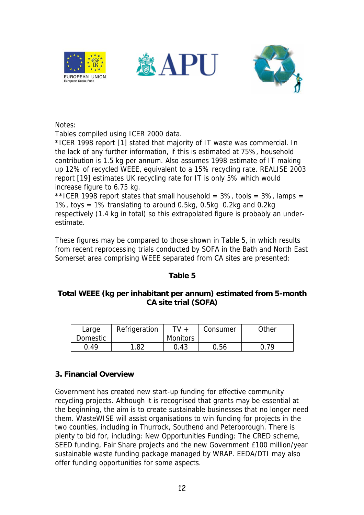





Notes:

Tables compiled using ICER 2000 data.

\*ICER 1998 report [1] stated that majority of IT waste was commercial. In the lack of any further information, if this is estimated at 75%, household contribution is 1.5 kg per annum. Also assumes 1998 estimate of IT making up 12% of recycled WEEE, equivalent to a 15% recycling rate. REALISE 2003 report [19] estimates UK recycling rate for IT is only 5% which would increase figure to 6.75 kg.

\*\*ICER 1998 report states that small household =  $3\%$ , tools =  $3\%$ , lamps = 1%, toys = 1% translating to around 0.5kg, 0.5kg 0.2kg and 0.2kg respectively (1.4 kg in total) so this extrapolated figure is probably an underestimate.

These figures may be compared to those shown in Table 5, in which results from recent reprocessing trials conducted by SOFA in the Bath and North East Somerset area comprising WEEE separated from CA sites are presented:

# **Table 5**

## **Total WEEE (kg per inhabitant per annum) estimated from 5-month CA site trial (SOFA)**

| Large    | Refrigeration |                 | Consumer | Other |
|----------|---------------|-----------------|----------|-------|
| Domestic |               | <b>Monitors</b> |          |       |
| 0.49     | - 82          | 0.43            | 0.56     | 70    |

# **3. Financial Overview**

Government has created new start-up funding for effective community recycling projects. Although it is recognised that grants may be essential at the beginning, the aim is to create sustainable businesses that no longer need them. WasteWISE will assist organisations to win funding for projects in the two counties, including in Thurrock, Southend and Peterborough. There is plenty to bid for, including: New Opportunities Funding: The CRED scheme, SEED funding, Fair Share projects and the new Government £100 million/year sustainable waste funding package managed by WRAP. EEDA/DTI may also offer funding opportunities for some aspects.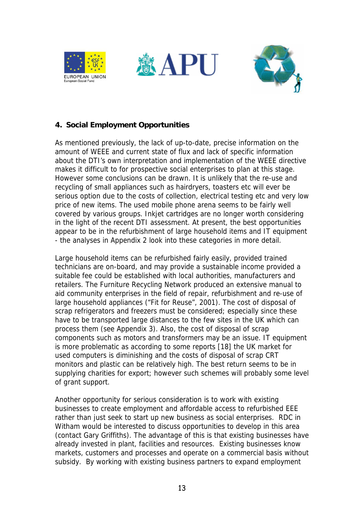





## **4. Social Employment Opportunities**

As mentioned previously, the lack of up-to-date, precise information on the amount of WEEE and current state of flux and lack of specific information about the DTI's own interpretation and implementation of the WEEE directive makes it difficult to for prospective social enterprises to plan at this stage. However some conclusions can be drawn. It is unlikely that the re-use and recycling of small appliances such as hairdryers, toasters etc will ever be serious option due to the costs of collection, electrical testing etc and very low price of new items. The used mobile phone arena seems to be fairly well covered by various groups. Inkjet cartridges are no longer worth considering in the light of the recent DTI assessment. At present, the best opportunities appear to be in the refurbishment of large household items and IT equipment - the analyses in Appendix 2 look into these categories in more detail.

Large household items can be refurbished fairly easily, provided trained technicians are on-board, and may provide a sustainable income provided a suitable fee could be established with local authorities, manufacturers and retailers. The Furniture Recycling Network produced an extensive manual to aid community enterprises in the field of repair, refurbishment and re-use of large household appliances ("Fit for Reuse", 2001). The cost of disposal of scrap refrigerators and freezers must be considered; especially since these have to be transported large distances to the few sites in the UK which can process them (see Appendix 3). Also, the cost of disposal of scrap components such as motors and transformers may be an issue. IT equipment is more problematic as according to some reports [18] the UK market for used computers is diminishing and the costs of disposal of scrap CRT monitors and plastic can be relatively high. The best return seems to be in supplying charities for export; however such schemes will probably some level of grant support.

Another opportunity for serious consideration is to work with existing businesses to create employment and affordable access to refurbished EEE rather than just seek to start up new business as social enterprises. RDC in Witham would be interested to discuss opportunities to develop in this area (contact Gary Griffiths). The advantage of this is that existing businesses have already invested in plant, facilities and resources. Existing businesses know markets, customers and processes and operate on a commercial basis without subsidy. By working with existing business partners to expand employment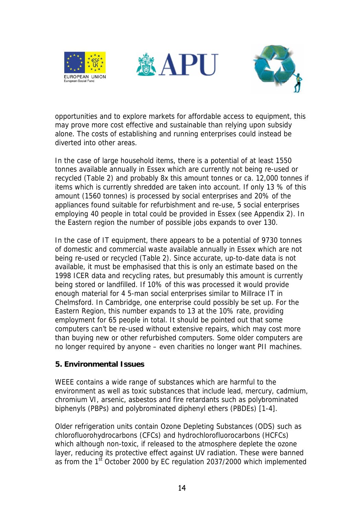





opportunities and to explore markets for affordable access to equipment, this may prove more cost effective and sustainable than relying upon subsidy alone. The costs of establishing and running enterprises could instead be diverted into other areas.

In the case of large household items, there is a potential of at least 1550 tonnes available annually in Essex which are currently not being re-used or recycled (Table 2) and probably 8x this amount tonnes or ca. 12,000 tonnes if items which is currently shredded are taken into account. If only 13 % of this amount (1560 tonnes) is processed by social enterprises and 20% of the appliances found suitable for refurbishment and re-use, 5 social enterprises employing 40 people in total could be provided in Essex (see Appendix 2). In the Eastern region the number of possible jobs expands to over 130.

In the case of IT equipment, there appears to be a potential of 9730 tonnes of domestic and commercial waste available annually in Essex which are not being re-used or recycled (Table 2). Since accurate, up-to-date data is not available, it must be emphasised that this is only an estimate based on the 1998 ICER data and recycling rates, but presumably this amount is currently being stored or landfilled. If 10% of this was processed it would provide enough material for 4 5-man social enterprises similar to Millrace IT in Chelmsford. In Cambridge, one enterprise could possibly be set up. For the Eastern Region, this number expands to 13 at the 10% rate, providing employment for 65 people in total. It should be pointed out that some computers can't be re-used without extensive repairs, which may cost more than buying new or other refurbished computers. Some older computers are no longer required by anyone – even charities no longer want PII machines.

#### **5. Environmental Issues**

WEEE contains a wide range of substances which are harmful to the environment as well as toxic substances that include lead, mercury, cadmium, chromium VI, arsenic, asbestos and fire retardants such as polybrominated biphenyls (PBPs) and polybrominated diphenyl ethers (PBDEs) [1-4].

Older refrigeration units contain Ozone Depleting Substances (ODS) such as chlorofluorohydrocarbons (CFCs) and hydrochlorofluorocarbons (HCFCs) which although non-toxic, if released to the atmosphere deplete the ozone layer, reducing its protective effect against UV radiation. These were banned as from the  $1<sup>st</sup>$  October 2000 by EC regulation 2037/2000 which implemented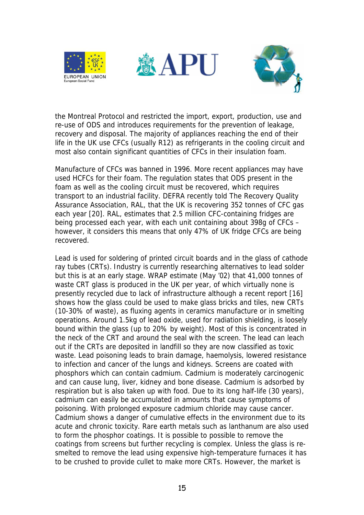





the Montreal Protocol and restricted the import, export, production, use and re-use of ODS and introduces requirements for the prevention of leakage, recovery and disposal. The majority of appliances reaching the end of their life in the UK use CFCs (usually R12) as refrigerants in the cooling circuit and most also contain significant quantities of CFCs in their insulation foam.

Manufacture of CFCs was banned in 1996. More recent appliances may have used HCFCs for their foam. The regulation states that ODS present in the foam as well as the cooling circuit must be recovered, which requires transport to an industrial facility. DEFRA recently told The Recovery Quality Assurance Association, RAL, that the UK is recovering 352 tonnes of CFC gas each year [20]. RAL, estimates that 2.5 million CFC-containing fridges are being processed each year, with each unit containing about 398g of CFCs – however, it considers this means that only 47% of UK fridge CFCs are being recovered.

Lead is used for soldering of printed circuit boards and in the glass of cathode ray tubes (CRTs). Industry is currently researching alternatives to lead solder but this is at an early stage. WRAP estimate (May '02) that 41,000 tonnes of waste CRT glass is produced in the UK per year, of which virtually none is presently recycled due to lack of infrastructure although a recent report [16] shows how the glass could be used to make glass bricks and tiles, new CRTs (10-30% of waste), as fluxing agents in ceramics manufacture or in smelting operations. Around 1.5kg of lead oxide, used for radiation shielding, is loosely bound within the glass (up to 20% by weight). Most of this is concentrated in the neck of the CRT and around the seal with the screen. The lead can leach out if the CRTs are deposited in landfill so they are now classified as toxic waste. Lead poisoning leads to brain damage, haemolysis, lowered resistance to infection and cancer of the lungs and kidneys. Screens are coated with phosphors which can contain cadmium. Cadmium is moderately carcinogenic and can cause lung, liver, kidney and bone disease. Cadmium is adsorbed by respiration but is also taken up with food. Due to its long half-life (30 years), cadmium can easily be accumulated in amounts that cause symptoms of poisoning. With prolonged exposure cadmium chloride may cause cancer. Cadmium shows a danger of cumulative effects in the environment due to its acute and chronic toxicity. Rare earth metals such as lanthanum are also used to form the phosphor coatings. It is possible to possible to remove the coatings from screens but further recycling is complex. Unless the glass is resmelted to remove the lead using expensive high-temperature furnaces it has to be crushed to provide cullet to make more CRTs. However, the market is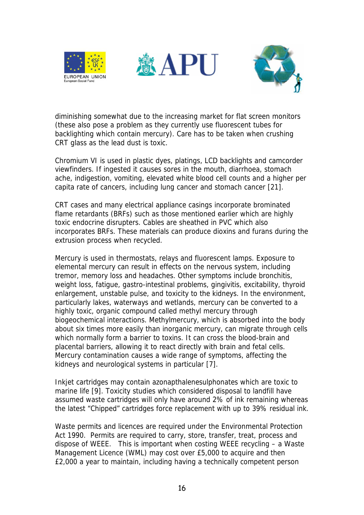





diminishing somewhat due to the increasing market for flat screen monitors (these also pose a problem as they currently use fluorescent tubes for backlighting which contain mercury). Care has to be taken when crushing CRT glass as the lead dust is toxic.

Chromium VI is used in plastic dyes, platings, LCD backlights and camcorder viewfinders. If ingested it causes sores in the mouth, diarrhoea, stomach ache, indigestion, vomiting, elevated white blood cell counts and a higher per capita rate of cancers, including lung cancer and stomach cancer [21].

CRT cases and many electrical appliance casings incorporate brominated flame retardants (BRFs) such as those mentioned earlier which are highly toxic endocrine disrupters. Cables are sheathed in PVC which also incorporates BRFs. These materials can produce dioxins and furans during the extrusion process when recycled.

Mercury is used in thermostats, relays and fluorescent lamps. Exposure to elemental mercury can result in effects on the nervous system, including tremor, memory loss and headaches. Other symptoms include bronchitis, weight loss, fatigue, gastro-intestinal problems, gingivitis, excitability, thyroid enlargement, unstable pulse, and toxicity to the kidneys. In the environment, particularly lakes, waterways and wetlands, mercury can be converted to a highly toxic, organic compound called methyl mercury through biogeochemical interactions. Methylmercury, which is absorbed into the body about six times more easily than inorganic mercury, can migrate through cells which normally form a barrier to toxins. It can cross the blood-brain and placental barriers, allowing it to react directly with brain and fetal cells. Mercury contamination causes a wide range of symptoms, affecting the kidneys and neurological systems in particular [7].

Inkjet cartridges may contain azonapthalenesulphonates which are toxic to marine life [9]. Toxicity studies which considered disposal to landfill have assumed waste cartridges will only have around 2% of ink remaining whereas the latest "Chipped" cartridges force replacement with up to 39% residual ink.

Waste permits and licences are required under the Environmental Protection Act 1990. Permits are required to carry, store, transfer, treat, process and dispose of WEEE. This is important when costing WEEE recycling – a Waste Management Licence (WML) may cost over £5,000 to acquire and then £2,000 a year to maintain, including having a technically competent person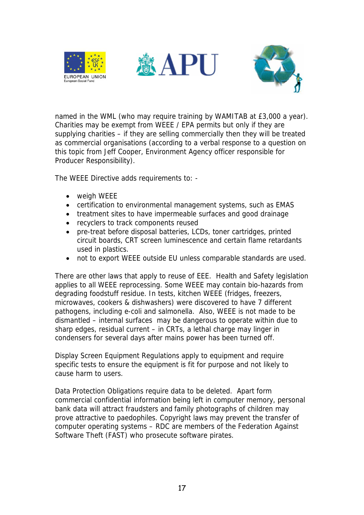





named in the WML (who may require training by WAMITAB at £3,000 a year). Charities may be exempt from WEEE / EPA permits but only if they are supplying charities – if they are selling commercially then they will be treated as commercial organisations (according to a verbal response to a question on this topic from Jeff Cooper, Environment Agency officer responsible for Producer Responsibility).

The WEEE Directive adds requirements to: -

- weigh WEEE
- certification to environmental management systems, such as EMAS
- treatment sites to have impermeable surfaces and good drainage
- recyclers to track components reused
- pre-treat before disposal batteries, LCDs, toner cartridges, printed circuit boards, CRT screen luminescence and certain flame retardants used in plastics.
- not to export WEEE outside EU unless comparable standards are used.

There are other laws that apply to reuse of EEE. Health and Safety legislation applies to all WEEE reprocessing. Some WEEE may contain bio-hazards from degrading foodstuff residue. In tests, kitchen WEEE (fridges, freezers, microwaves, cookers & dishwashers) were discovered to have 7 different pathogens, including e-coli and salmonella. Also, WEEE is not made to be dismantled – internal surfaces may be dangerous to operate within due to sharp edges, residual current – in CRTs, a lethal charge may linger in condensers for several days after mains power has been turned off.

Display Screen Equipment Regulations apply to equipment and require specific tests to ensure the equipment is fit for purpose and not likely to cause harm to users.

Data Protection Obligations require data to be deleted. Apart form commercial confidential information being left in computer memory, personal bank data will attract fraudsters and family photographs of children may prove attractive to paedophiles. Copyright laws may prevent the transfer of computer operating systems – RDC are members of the Federation Against Software Theft (FAST) who prosecute software pirates.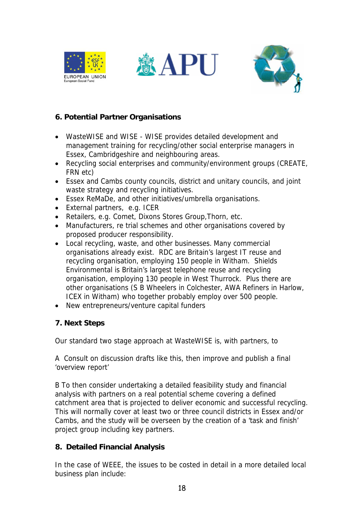





# **6. Potential Partner Organisations**

- WasteWISE and WISE WISE provides detailed development and management training for recycling/other social enterprise managers in Essex, Cambridgeshire and neighbouring areas.
- Recycling social enterprises and community/environment groups (CREATE, FRN etc)
- Essex and Cambs county councils, district and unitary councils, and joint waste strategy and recycling initiatives.
- Essex ReMaDe, and other initiatives/umbrella organisations.
- External partners, e.g. ICER
- Retailers, e.g. Comet, Dixons Stores Group,Thorn, etc.
- Manufacturers, re trial schemes and other organisations covered by proposed producer responsibility.
- Local recycling, waste, and other businesses. Many commercial organisations already exist. RDC are Britain's largest IT reuse and recycling organisation, employing 150 people in Witham. Shields Environmental is Britain's largest telephone reuse and recycling organisation, employing 130 people in West Thurrock. Plus there are other organisations (S B Wheelers in Colchester, AWA Refiners in Harlow, ICEX in Witham) who together probably employ over 500 people.
- New entrepreneurs/venture capital funders

# **7. Next Steps**

Our standard two stage approach at WasteWISE is, with partners, to

A Consult on discussion drafts like this, then improve and publish a final 'overview report'

B To then consider undertaking a detailed feasibility study and financial analysis with partners on a real potential scheme covering a defined catchment area that is projected to deliver economic and successful recycling. This will normally cover at least two or three council districts in Essex and/or Cambs, and the study will be overseen by the creation of a 'task and finish' project group including key partners.

# **8. Detailed Financial Analysis**

In the case of WEEE, the issues to be costed in detail in a more detailed local business plan include: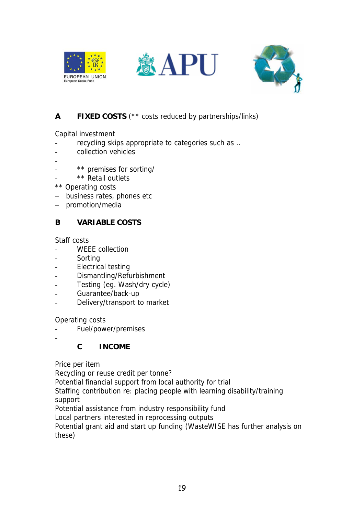





# **A FIXED COSTS** (\*\* costs reduced by partnerships/links)

Capital investment

- recycling skips appropriate to categories such as ..
- collection vehicles
- -
- \*\* premises for sorting/
- \*\* Retail outlets
- \*\* Operating costs
- business rates, phones etc
- promotion/media

# **B VARIABLE COSTS**

Staff costs

- WEEE collection
- Sorting
- Electrical testing
- Dismantling/Refurbishment
- Testing (eg. Wash/dry cycle)
- Guarantee/back-up
- Delivery/transport to market

Operating costs

- Fuel/power/premises
- -

# **C INCOME**

Price per item

Recycling or reuse credit per tonne?

Potential financial support from local authority for trial

Staffing contribution re: placing people with learning disability/training support

Potential assistance from industry responsibility fund

Local partners interested in reprocessing outputs

Potential grant aid and start up funding (WasteWISE has further analysis on these)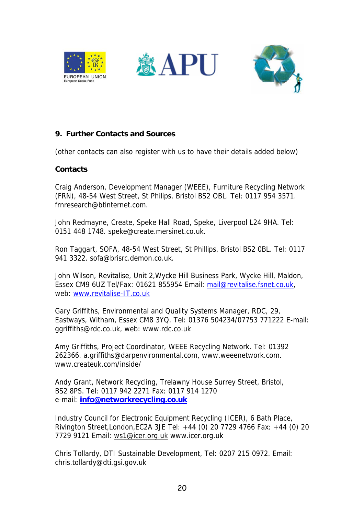





## **9. Further Contacts and Sources**

(other contacts can also register with us to have their details added below)

#### **Contacts**

Craig Anderson, Development Manager (WEEE), Furniture Recycling Network (FRN), 48-54 West Street, St Philips, Bristol BS2 OBL. Tel: 0117 954 3571. frnresearch@btinternet.com

John Redmayne, Create, Speke Hall Road, Speke, Liverpool L24 9HA. Tel: 0151 448 1748. speke@create.mersinet.co.uk.

Ron Taggart, SOFA, 48-54 West Street, St Phillips, Bristol BS2 0BL. Tel: 0117 941 3322. sofa@brisrc.demon.co.uk.

John Wilson, Revitalise, Unit 2,Wycke Hill Business Park, Wycke Hill, Maldon, Essex CM9 6UZ Tel/Fax: 01621 855954 Email: mail@revitalise.fsnet.co.uk, web: www.revitalise-IT.co.uk

Gary Griffiths, Environmental and Quality Systems Manager, RDC, 29, Eastways, Witham, Essex CM8 3YQ. Tel: 01376 504234/07753 771222 E-mail: ggriffiths@rdc.co.uk, web: www.rdc.co.uk

Amy Griffiths, Project Coordinator, WEEE Recycling Network. Tel: 01392 262366. a.griffiths@darpenvironmental.com, www.weeenetwork.com. www.createuk.com/inside/

Andy Grant, Network Recycling, Trelawny House Surrey Street, Bristol, BS2 8PS. Tel: 0117 942 2271 Fax: 0117 914 1270 e-mail: **info@networkrecycling.co.uk**

Industry Council for Electronic Equipment Recycling (ICER), 6 Bath Place, Rivington Street,London,EC2A 3JE Tel: +44 (0) 20 7729 4766 Fax: +44 (0) 20 7729 9121 Email: ws1@icer.org.uk www.icer.org.uk

Chris Tollardy, DTI Sustainable Development, Tel: 0207 215 0972. Email: chris.tollardy@dti.gsi.gov.uk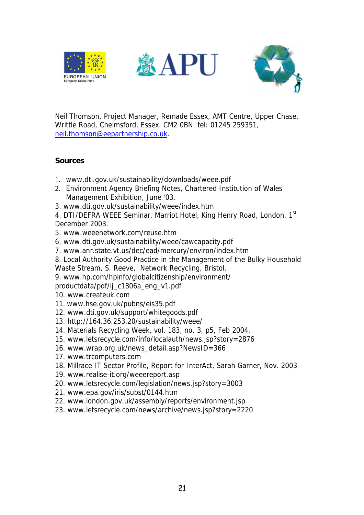





Neil Thomson, Project Manager, Remade Essex, AMT Centre, Upper Chase, Writtle Road, Chelmsford, Essex. CM2 0BN. tel: 01245 259351, neil.thomson@eepartnership.co.uk.

## **Sources**

- 1. www.dti.gov.uk/sustainability/downloads/weee.pdf
- 2. Environment Agency Briefing Notes, Chartered Institution of Wales Management Exhibition, June '03.
- 3. www.dti.gov.uk/sustainability/weee/index.htm

4. DTI/DEFRA WEEE Seminar, Marriot Hotel, King Henry Road, London, 1st December 2003.

- 5. www.weeenetwork.com/reuse.htm
- 6. www.dti.gov.uk/sustainability/weee/cawcapacity.pdf
- 7. www.anr.state.vt.us/dec/ead/mercury/environ/index.htm
- 8. Local Authority Good Practice in the Management of the Bulky Household
- Waste Stream, S. Reeve, Network Recycling, Bristol.
- 9. www.hp.com/hpinfo/globalcitizenship/environment/

productdata/pdf/ij\_c1806a\_eng\_v1.pdf

- 10. www.createuk.com
- 11. www.hse.gov.uk/pubns/eis35.pdf
- 12. www.dti.gov.uk/support/whitegoods.pdf
- 13. http://164.36.253.20/sustainability/weee/
- 14. Materials Recycling Week, vol. 183, no. 3, p5, Feb 2004.
- 15. www.letsrecycle.com/info/localauth/news.jsp?story=2876
- 16. www.wrap.org.uk/news\_detail.asp?NewsID=366
- 17. www.trcomputers.com
- 18. Millrace IT Sector Profile, Report for InterAct, Sarah Garner, Nov. 2003
- 19. www.realise-it.org/weeereport.asp
- 20. www.letsrecycle.com/legislation/news.jsp?story=3003
- 21. www.epa.gov/iris/subst/0144.htm
- 22. www.london.gov.uk/assembly/reports/environment.jsp
- 23. www.letsrecycle.com/news/archive/news.jsp?story=2220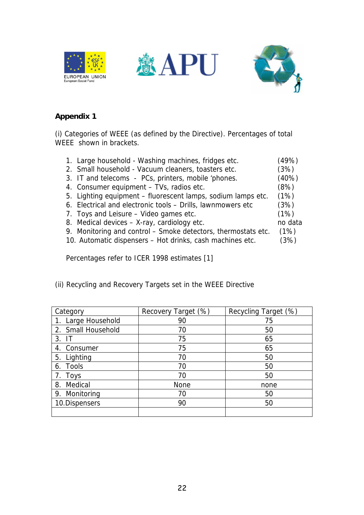





## **Appendix 1**

(i) Categories of WEEE (as defined by the Directive). Percentages of total WEEE shown in brackets.

| 1. Large household - Washing machines, fridges etc.           | (49%)   |
|---------------------------------------------------------------|---------|
| 2. Small household - Vacuum cleaners, toasters etc.           | (3%)    |
| 3. IT and telecoms - PCs, printers, mobile 'phones.           | (40%)   |
| 4. Consumer equipment - TVs, radios etc.                      | (8%)    |
| 5. Lighting equipment - fluorescent lamps, sodium lamps etc.  | (1%)    |
| 6. Electrical and electronic tools - Drills, lawnmowers etc   | (3%)    |
| 7. Toys and Leisure - Video games etc.                        | (1%)    |
| 8. Medical devices - X-ray, cardiology etc.                   | no data |
| 9. Monitoring and control – Smoke detectors, thermostats etc. | (1%)    |
| 10. Automatic dispensers - Hot drinks, cash machines etc.     | (3%)    |
|                                                               |         |

Percentages refer to ICER 1998 estimates [1]

(ii) Recycling and Recovery Targets set in the WEEE Directive

| Category           | Recovery Target (%) | Recycling Target (%) |
|--------------------|---------------------|----------------------|
| 1. Large Household | 90                  | 75                   |
| 2. Small Household | 70                  | 50                   |
| 3.                 | 75                  | 65                   |
| Consumer<br>4.     | 75                  | 65                   |
| Lighting<br>5.     | 70                  | 50                   |
| Tools<br>6.        | 70                  | 50                   |
| 7. Toys            | 70                  | 50                   |
| Medical<br>8.      | <b>None</b>         | none                 |
| 9. Monitoring      | 70                  | 50                   |
| 10. Dispensers     | 90                  | 50                   |
|                    |                     |                      |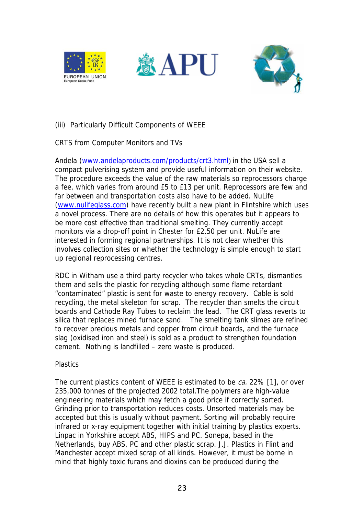





## (iii) Particularly Difficult Components of WEEE

CRTS from Computer Monitors and TVs

Andela (www.andelaproducts.com/products/crt3.html) in the USA sell a compact pulverising system and provide useful information on their website. The procedure exceeds the value of the raw materials so reprocessors charge a fee, which varies from around £5 to £13 per unit. Reprocessors are few and far between and transportation costs also have to be added. NuLife (www.nulifeglass.com) have recently built a new plant in Flintshire which uses a novel process. There are no details of how this operates but it appears to be more cost effective than traditional smelting. They currently accept monitors via a drop-off point in Chester for £2.50 per unit. NuLife are interested in forming regional partnerships. It is not clear whether this involves collection sites or whether the technology is simple enough to start up regional reprocessing centres.

RDC in Witham use a third party recycler who takes whole CRTs, dismantles them and sells the plastic for recycling although some flame retardant "contaminated" plastic is sent for waste to energy recovery. Cable is sold recycling, the metal skeleton for scrap. The recycler than smelts the circuit boards and Cathode Ray Tubes to reclaim the lead. The CRT glass reverts to silica that replaces mined furnace sand. The smelting tank slimes are refined to recover precious metals and copper from circuit boards, and the furnace slag (oxidised iron and steel) is sold as a product to strengthen foundation cement. Nothing is landfilled – zero waste is produced.

#### **Plastics**

The current plastics content of WEEE is estimated to be ca. 22% [1], or over 235,000 tonnes of the projected 2002 total.The polymers are high-value engineering materials which may fetch a good price if correctly sorted. Grinding prior to transportation reduces costs. Unsorted materials may be accepted but this is usually without payment. Sorting will probably require infrared or x-ray equipment together with initial training by plastics experts. Linpac in Yorkshire accept ABS, HIPS and PC. Sonepa, based in the Netherlands, buy ABS, PC and other plastic scrap. J.J. Plastics in Flint and Manchester accept mixed scrap of all kinds. However, it must be borne in mind that highly toxic furans and dioxins can be produced during the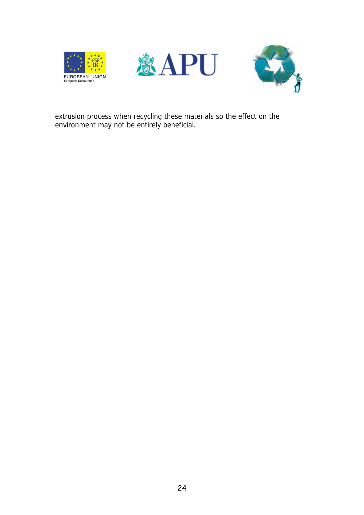





extrusion process when recycling these materials so the effect on the environment may not be entirely beneficial.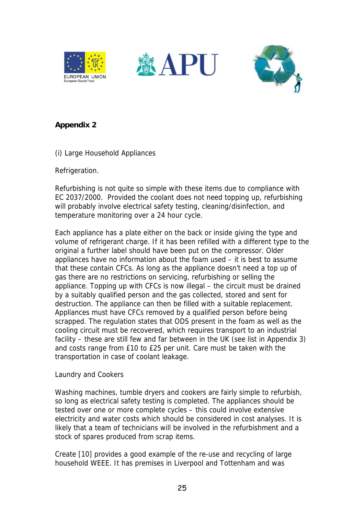





# **Appendix 2**

(i) Large Household Appliances

Refrigeration.

Refurbishing is not quite so simple with these items due to compliance with EC 2037/2000. Provided the coolant does not need topping up, refurbishing will probably involve electrical safety testing, cleaning/disinfection, and temperature monitoring over a 24 hour cycle.

Each appliance has a plate either on the back or inside giving the type and volume of refrigerant charge. If it has been refilled with a different type to the original a further label should have been put on the compressor. Older appliances have no information about the foam used – it is best to assume that these contain CFCs. As long as the appliance doesn't need a top up of gas there are no restrictions on servicing, refurbishing or selling the appliance. Topping up with CFCs is now illegal – the circuit must be drained by a suitably qualified person and the gas collected, stored and sent for destruction. The appliance can then be filled with a suitable replacement. Appliances must have CFCs removed by a qualified person before being scrapped. The regulation states that ODS present in the foam as well as the cooling circuit must be recovered, which requires transport to an industrial facility – these are still few and far between in the UK (see list in Appendix 3) and costs range from £10 to £25 per unit. Care must be taken with the transportation in case of coolant leakage.

#### Laundry and Cookers

Washing machines, tumble dryers and cookers are fairly simple to refurbish, so long as electrical safety testing is completed. The appliances should be tested over one or more complete cycles – this could involve extensive electricity and water costs which should be considered in cost analyses. It is likely that a team of technicians will be involved in the refurbishment and a stock of spares produced from scrap items.

Create [10] provides a good example of the re-use and recycling of large household WEEE. It has premises in Liverpool and Tottenham and was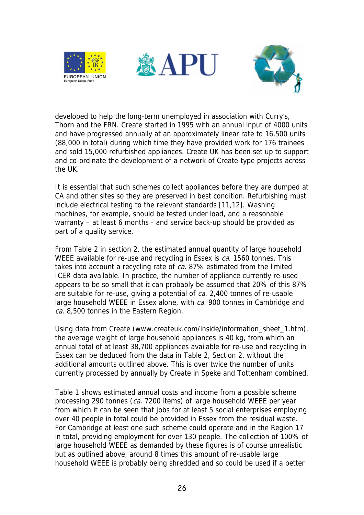





developed to help the long-term unemployed in association with Curry's, Thorn and the FRN. Create started in 1995 with an annual input of 4000 units and have progressed annually at an approximately linear rate to 16,500 units (88,000 in total) during which time they have provided work for 176 trainees and sold 15,000 refurbished appliances. Create UK has been set up to support and co-ordinate the development of a network of Create-type projects across the UK.

It is essential that such schemes collect appliances before they are dumped at CA and other sites so they are preserved in best condition. Refurbishing must include electrical testing to the relevant standards [11,12]. Washing machines, for example, should be tested under load, and a reasonable warranty – at least 6 months - and service back-up should be provided as part of a quality service.

From Table 2 in section 2, the estimated annual quantity of large household WEEE available for re-use and recycling in Essex is ca. 1560 tonnes. This takes into account a recycling rate of ca. 87% estimated from the limited ICER data available. In practice, the number of appliance currently re-used appears to be so small that it can probably be assumed that 20% of this 87% are suitable for re-use, giving a potential of ca. 2,400 tonnes of re-usable large household WEEE in Essex alone, with ca. 900 tonnes in Cambridge and ca. 8,500 tonnes in the Eastern Region.

Using data from Create (www.createuk.com/inside/information\_sheet\_1.htm), the average weight of large household appliances is 40 kg, from which an annual total of at least 38,700 appliances available for re-use and recycling in Essex can be deduced from the data in Table 2, Section 2, without the additional amounts outlined above. This is over twice the number of units currently processed by annually by Create in Speke and Tottenham combined.

Table 1 shows estimated annual costs and income from a possible scheme processing 290 tonnes (ca. 7200 items) of large household WEEE per year from which it can be seen that jobs for at least 5 social enterprises employing over 40 people in total could be provided in Essex from the residual waste. For Cambridge at least one such scheme could operate and in the Region 17 in total, providing employment for over 130 people. The collection of 100% of large household WEEE as demanded by these figures is of course unrealistic but as outlined above, around 8 times this amount of re-usable large household WEEE is probably being shredded and so could be used if a better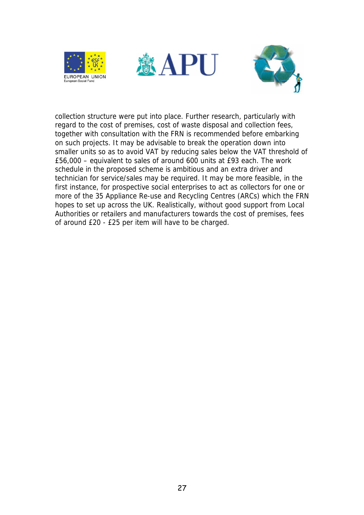





collection structure were put into place. Further research, particularly with regard to the cost of premises, cost of waste disposal and collection fees, together with consultation with the FRN is recommended before embarking on such projects. It may be advisable to break the operation down into smaller units so as to avoid VAT by reducing sales below the VAT threshold of £56,000 – equivalent to sales of around 600 units at £93 each. The work schedule in the proposed scheme is ambitious and an extra driver and technician for service/sales may be required. It may be more feasible, in the first instance, for prospective social enterprises to act as collectors for one or more of the 35 Appliance Re-use and Recycling Centres (ARCs) which the FRN hopes to set up across the UK. Realistically, without good support from Local Authorities or retailers and manufacturers towards the cost of premises, fees of around £20 - £25 per item will have to be charged.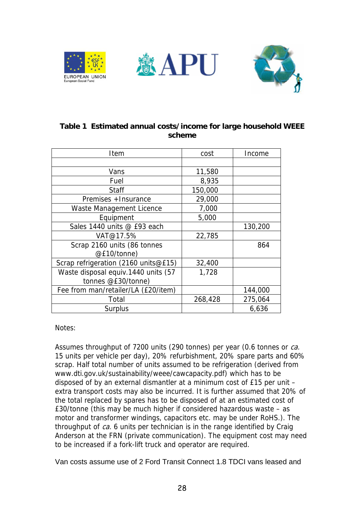





## **Table 1 Estimated annual costs/income for large household WEEE scheme**

| Item                                 | cost    | Income  |
|--------------------------------------|---------|---------|
|                                      |         |         |
| Vans                                 | 11,580  |         |
| Fuel                                 | 8,935   |         |
| <b>Staff</b>                         | 150,000 |         |
| Premises + Insurance                 | 29,000  |         |
| Waste Management Licence             | 7,000   |         |
| Equipment                            | 5,000   |         |
| Sales 1440 units @ £93 each          |         | 130,200 |
| VAT@17.5%                            | 22,785  |         |
| Scrap 2160 units (86 tonnes          |         | 864     |
| @£10/tonne)                          |         |         |
| Scrap refrigeration (2160 units@£15) | 32,400  |         |
| Waste disposal equiv.1440 units (57  | 1,728   |         |
| tonnes @£30/tonne)                   |         |         |
| Fee from man/retailer/LA (£20/item)  |         | 144,000 |
| Total                                | 268,428 | 275,064 |
| Surplus                              |         | 6,636   |

Notes:

Assumes throughput of 7200 units (290 tonnes) per year (0.6 tonnes or ca. 15 units per vehicle per day), 20% refurbishment, 20% spare parts and 60% scrap. Half total number of units assumed to be refrigeration (derived from www.dti.gov.uk/sustainability/weee/cawcapacity.pdf) which has to be disposed of by an external dismantler at a minimum cost of £15 per unit – extra transport costs may also be incurred. It is further assumed that 20% of the total replaced by spares has to be disposed of at an estimated cost of £30/tonne (this may be much higher if considered hazardous waste – as motor and transformer windings, capacitors etc. may be under RoHS.). The throughput of ca. 6 units per technician is in the range identified by Craig Anderson at the FRN (private communication). The equipment cost may need to be increased if a fork-lift truck and operator are required.

Van costs assume use of 2 Ford Transit Connect 1.8 TDCI vans leased and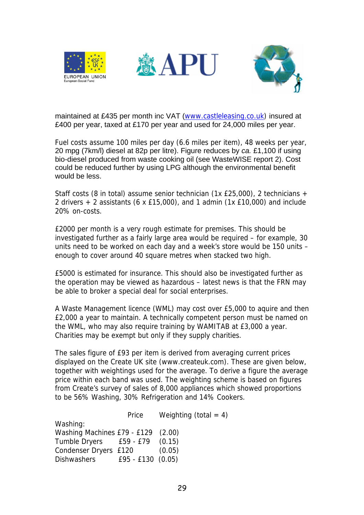





maintained at £435 per month inc VAT (www.castleleasing.co.uk) insured at £400 per year, taxed at £170 per year and used for 24,000 miles per year.

Fuel costs assume 100 miles per day (6.6 miles per item), 48 weeks per year, 20 mpg (7km/l) diesel at 82p per litre). Figure reduces by *ca.* £1,100 if using bio-diesel produced from waste cooking oil (see WasteWISE report 2). Cost could be reduced further by using LPG although the environmental benefit would be less.

Staff costs (8 in total) assume senior technician (1x £25,000), 2 technicians + 2 drivers  $+$  2 assistants (6 x £15,000), and 1 admin (1x £10,000) and include 20% on-costs.

£2000 per month is a very rough estimate for premises. This should be investigated further as a fairly large area would be required – for example, 30 units need to be worked on each day and a week's store would be 150 units – enough to cover around 40 square metres when stacked two high.

£5000 is estimated for insurance. This should also be investigated further as the operation may be viewed as hazardous – latest news is that the FRN may be able to broker a special deal for social enterprises.

A Waste Management licence (WML) may cost over £5,000 to aquire and then £2,000 a year to maintain. A technically competent person must be named on the WML, who may also require training by WAMITAB at £3,000 a year. Charities may be exempt but only if they supply charities.

The sales figure of £93 per item is derived from averaging current prices displayed on the Create UK site (www.createuk.com). These are given below, together with weightings used for the average. To derive a figure the average price within each band was used. The weighting scheme is based on figures from Create's survey of sales of 8,000 appliances which showed proportions to be 56% Washing, 30% Refrigeration and 14% Cookers.

Price Weighting (total  $= 4$ ) Washing: Washing Machines £79 - £129 (2.00) Tumble Dryers £59 - £79 (0.15) Condenser Dryers £120 (0.05) Dishwashers £95 - £130 (0.05)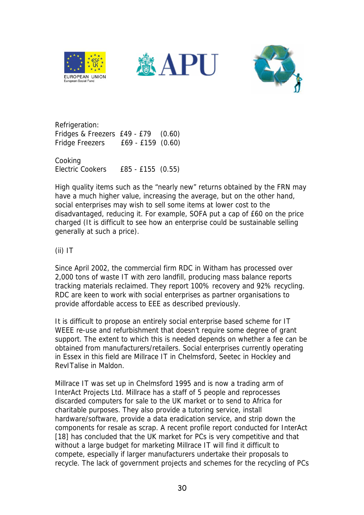





Refrigeration: Fridges & Freezers £49 - £79 (0.60) Fridge Freezers £69 - £159 (0.60)

Cooking Electric Cookers £85 - £155 (0.55)

High quality items such as the "nearly new" returns obtained by the FRN may have a much higher value, increasing the average, but on the other hand, social enterprises may wish to sell some items at lower cost to the disadvantaged, reducing it. For example, SOFA put a cap of £60 on the price charged (It is difficult to see how an enterprise could be sustainable selling generally at such a price).

## (ii) IT

Since April 2002, the commercial firm RDC in Witham has processed over 2,000 tons of waste IT with zero landfill, producing mass balance reports tracking materials reclaimed. They report 100% recovery and 92% recycling. RDC are keen to work with social enterprises as partner organisations to provide affordable access to EEE as described previously.

It is difficult to propose an entirely social enterprise based scheme for IT WEEE re-use and refurbishment that doesn't require some degree of grant support. The extent to which this is needed depends on whether a fee can be obtained from manufacturers/retailers. Social enterprises currently operating in Essex in this field are Millrace IT in Chelmsford, Seetec in Hockley and RevITalise in Maldon.

Millrace IT was set up in Chelmsford 1995 and is now a trading arm of InterAct Projects Ltd. Millrace has a staff of 5 people and reprocesses discarded computers for sale to the UK market or to send to Africa for charitable purposes. They also provide a tutoring service, install hardware/software, provide a data eradication service, and strip down the components for resale as scrap. A recent profile report conducted for InterAct [18] has concluded that the UK market for PCs is very competitive and that without a large budget for marketing Millrace IT will find it difficult to compete, especially if larger manufacturers undertake their proposals to recycle. The lack of government projects and schemes for the recycling of PCs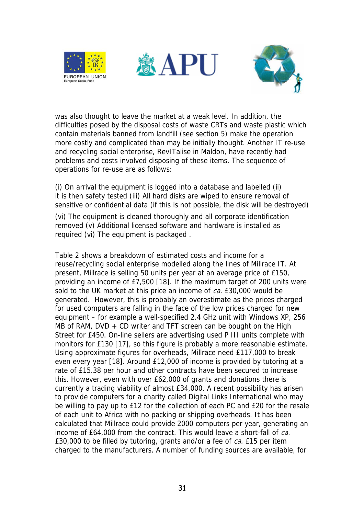





was also thought to leave the market at a weak level. In addition, the difficulties posed by the disposal costs of waste CRTs and waste plastic which contain materials banned from landfill (see section 5) make the operation more costly and complicated than may be initially thought. Another IT re-use and recycling social enterprise, RevITalise in Maldon, have recently had problems and costs involved disposing of these items. The sequence of operations for re-use are as follows:

(i) On arrival the equipment is logged into a database and labelled (ii) it is then safety tested (iii) All hard disks are wiped to ensure removal of sensitive or confidential data (if this is not possible, the disk will be destroyed)

(vi) The equipment is cleaned thoroughly and all corporate identification removed (v) Additional licensed software and hardware is installed as required (vi) The equipment is packaged .

Table 2 shows a breakdown of estimated costs and income for a reuse/recycling social enterprise modelled along the lines of Millrace IT. At present, Millrace is selling 50 units per year at an average price of £150, providing an income of £7,500 [18]. If the maximum target of 200 units were sold to the UK market at this price an income of ca. £30,000 would be generated. However, this is probably an overestimate as the prices charged for used computers are falling in the face of the low prices charged for new equipment – for example a well-specified 2.4 GHz unit with Windows XP, 256 MB of RAM, DVD  $+$  CD writer and TFT screen can be bought on the High Street for £450. On-line sellers are advertising used P III units complete with monitors for £130 [17], so this figure is probably a more reasonable estimate. Using approximate figures for overheads, Millrace need £117,000 to break even every year [18]. Around £12,000 of income is provided by tutoring at a rate of £15.38 per hour and other contracts have been secured to increase this. However, even with over £62,000 of grants and donations there is currently a trading viability of almost £34,000. A recent possibility has arisen to provide computers for a charity called Digital Links International who may be willing to pay up to £12 for the collection of each PC and £20 for the resale of each unit to Africa with no packing or shipping overheads. It has been calculated that Millrace could provide 2000 computers per year, generating an income of £64,000 from the contract. This would leave a short-fall of ca. £30,000 to be filled by tutoring, grants and/or a fee of ca. £15 per item charged to the manufacturers. A number of funding sources are available, for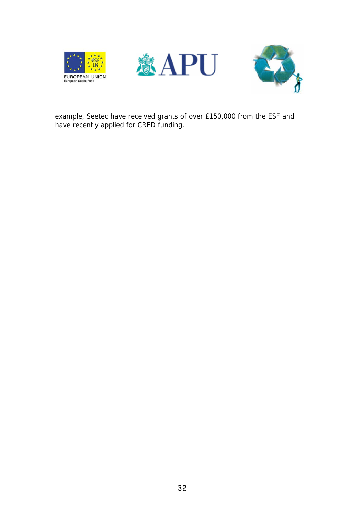





example, Seetec have received grants of over £150,000 from the ESF and have recently applied for CRED funding.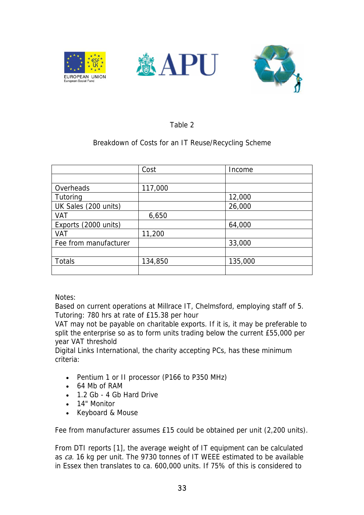





# Table 2

## Breakdown of Costs for an IT Reuse/Recycling Scheme

|                       | Cost    | Income  |
|-----------------------|---------|---------|
|                       |         |         |
| Overheads             | 117,000 |         |
| Tutoring              |         | 12,000  |
| UK Sales (200 units)  |         | 26,000  |
| <b>VAT</b>            | 6,650   |         |
| Exports (2000 units)  |         | 64,000  |
| <b>VAT</b>            | 11,200  |         |
| Fee from manufacturer |         | 33,000  |
|                       |         |         |
| <b>Totals</b>         | 134,850 | 135,000 |
|                       |         |         |

Notes:

Based on current operations at Millrace IT, Chelmsford, employing staff of 5. Tutoring: 780 hrs at rate of £15.38 per hour

VAT may not be payable on charitable exports. If it is, it may be preferable to split the enterprise so as to form units trading below the current £55,000 per year VAT threshold

Digital Links International, the charity accepting PCs, has these minimum criteria:

- Pentium 1 or II processor (P166 to P350 MHz)
- 64 Mb of RAM
- 1.2 Gb 4 Gb Hard Drive
- 14" Monitor
- Keyboard & Mouse

Fee from manufacturer assumes £15 could be obtained per unit (2,200 units).

From DTI reports [1], the average weight of IT equipment can be calculated as ca. 16 kg per unit. The 9730 tonnes of IT WEEE estimated to be available in Essex then translates to ca. 600,000 units. If 75% of this is considered to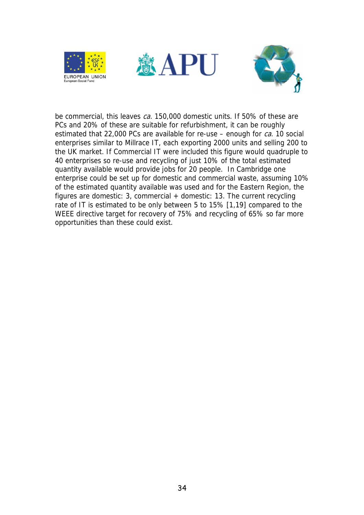





be commercial, this leaves ca. 150,000 domestic units. If 50% of these are PCs and 20% of these are suitable for refurbishment, it can be roughly estimated that 22,000 PCs are available for re-use – enough for ca. 10 social enterprises similar to Millrace IT, each exporting 2000 units and selling 200 to the UK market. If Commercial IT were included this figure would quadruple to 40 enterprises so re-use and recycling of just 10% of the total estimated quantity available would provide jobs for 20 people. In Cambridge one enterprise could be set up for domestic and commercial waste, assuming 10% of the estimated quantity available was used and for the Eastern Region, the figures are domestic:  $3$ , commercial + domestic: 13. The current recycling rate of IT is estimated to be only between 5 to 15% [1,19] compared to the WEEE directive target for recovery of 75% and recycling of 65% so far more opportunities than these could exist.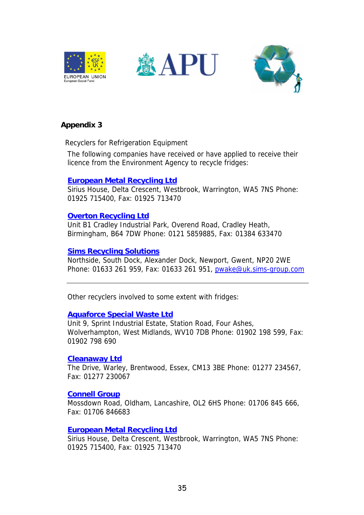





#### **Appendix 3**

Recyclers for Refrigeration Equipment

The following companies have received or have applied to receive their licence from the Environment Agency to recycle fridges:

#### **European Metal Recycling Ltd**

Sirius House, Delta Crescent, Westbrook, Warrington, WA5 7NS Phone: 01925 715400, Fax: 01925 713470

#### **Overton Recycling Ltd**

Unit B1 Cradley Industrial Park, Overend Road, Cradley Heath, Birmingham, B64 7DW Phone: 0121 5859885, Fax: 01384 633470

#### **Sims Recycling Solutions**

Northside, South Dock, Alexander Dock, Newport, Gwent, NP20 2WE Phone: 01633 261 959, Fax: 01633 261 951, pwake@uk.sims-group.com

Other recyclers involved to some extent with fridges:

#### **Aquaforce Special Waste Ltd**

Unit 9, Sprint Industrial Estate, Station Road, Four Ashes, Wolverhampton, West Midlands, WV10 7DB Phone: 01902 198 599, Fax: 01902 798 690

#### **Cleanaway Ltd**

The Drive, Warley, Brentwood, Essex, CM13 3BE Phone: 01277 234567, Fax: 01277 230067

#### **Connell Group**

Mossdown Road, Oldham, Lancashire, OL2 6HS Phone: 01706 845 666, Fax: 01706 846683

#### **European Metal Recycling Ltd**

Sirius House, Delta Crescent, Westbrook, Warrington, WA5 7NS Phone: 01925 715400, Fax: 01925 713470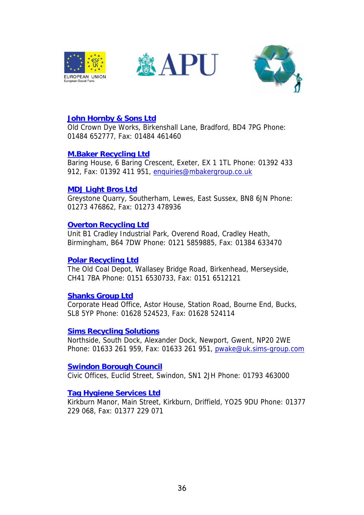





#### **John Hornby & Sons Ltd**

Old Crown Dye Works, Birkenshall Lane, Bradford, BD4 7PG Phone: 01484 652777, Fax: 01484 461460

#### **M.Baker Recycling Ltd**

Baring House, 6 Baring Crescent, Exeter, EX 1 1TL Phone: 01392 433 912, Fax: 01392 411 951, enquiries@mbakergroup.co.uk

#### **MDJ Light Bros Ltd**

Greystone Quarry, Southerham, Lewes, East Sussex, BN8 6JN Phone: 01273 476862, Fax: 01273 478936

#### **Overton Recycling Ltd**

Unit B1 Cradley Industrial Park, Overend Road, Cradley Heath, Birmingham, B64 7DW Phone: 0121 5859885, Fax: 01384 633470

#### **Polar Recycling Ltd**

The Old Coal Depot, Wallasey Bridge Road, Birkenhead, Merseyside, CH41 7BA Phone: 0151 6530733, Fax: 0151 6512121

#### **Shanks Group Ltd**

Corporate Head Office, Astor House, Station Road, Bourne End, Bucks, SL8 5YP Phone: 01628 524523, Fax: 01628 524114

#### **Sims Recycling Solutions**

Northside, South Dock, Alexander Dock, Newport, Gwent, NP20 2WE Phone: 01633 261 959, Fax: 01633 261 951, pwake@uk.sims-group.com

#### **Swindon Borough Council**

Civic Offices, Euclid Street, Swindon, SN1 2JH Phone: 01793 463000

#### **Tag Hygiene Services Ltd**

Kirkburn Manor, Main Street, Kirkburn, Driffield, YO25 9DU Phone: 01377 229 068, Fax: 01377 229 071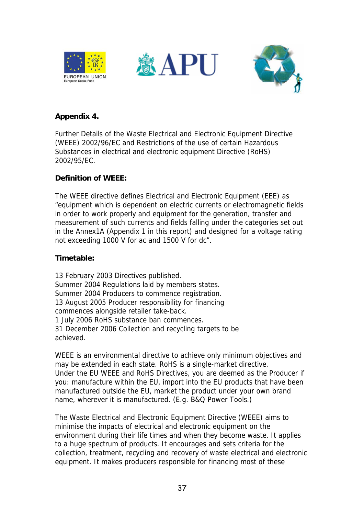





## **Appendix 4.**

Further Details of the Waste Electrical and Electronic Equipment Directive (WEEE) 2002/96/EC and Restrictions of the use of certain Hazardous Substances in electrical and electronic equipment Directive (RoHS) 2002/95/EC.

# **Definition of WEEE:**

The WEEE directive defines Electrical and Electronic Equipment (EEE) as "equipment which is dependent on electric currents or electromagnetic fields in order to work properly and equipment for the generation, transfer and measurement of such currents and fields falling under the categories set out in the Annex1A (Appendix 1 in this report) and designed for a voltage rating not exceeding 1000 V for ac and 1500 V for dc".

#### **Timetable:**

13 February 2003 Directives published. Summer 2004 Regulations laid by members states. Summer 2004 Producers to commence registration. 13 August 2005 Producer responsibility for financing commences alongside retailer take-back. 1 July 2006 RoHS substance ban commences. 31 December 2006 Collection and recycling targets to be achieved.

WEEE is an environmental directive to achieve only minimum objectives and may be extended in each state. RoHS is a single-market directive. Under the EU WEEE and RoHS Directives, you are deemed as the Producer if you: manufacture within the EU, import into the EU products that have been manufactured outside the EU, market the product under your own brand name, wherever it is manufactured. (E.g. B&Q Power Tools.)

The Waste Electrical and Electronic Equipment Directive (WEEE) aims to minimise the impacts of electrical and electronic equipment on the environment during their life times and when they become waste. It applies to a huge spectrum of products. It encourages and sets criteria for the collection, treatment, recycling and recovery of waste electrical and electronic equipment. It makes producers responsible for financing most of these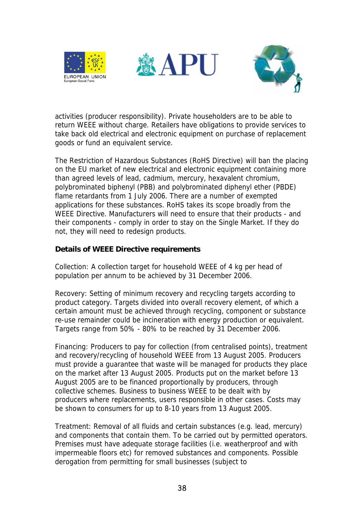





activities (producer responsibility). Private householders are to be able to return WEEE without charge. Retailers have obligations to provide services to take back old electrical and electronic equipment on purchase of replacement goods or fund an equivalent service.

The Restriction of Hazardous Substances (RoHS Directive) will ban the placing on the EU market of new electrical and electronic equipment containing more than agreed levels of lead, cadmium, mercury, hexavalent chromium, polybrominated biphenyl (PBB) and polybrominated diphenyl ether (PBDE) flame retardants from 1 July 2006. There are a number of exempted applications for these substances. RoHS takes its scope broadly from the WEEE Directive. Manufacturers will need to ensure that their products - and their components - comply in order to stay on the Single Market. If they do not, they will need to redesign products.

#### **Details of WEEE Directive requirements**

Collection: A collection target for household WEEE of 4 kg per head of population per annum to be achieved by 31 December 2006.

Recovery: Setting of minimum recovery and recycling targets according to product category. Targets divided into overall recovery element, of which a certain amount must be achieved through recycling, component or substance re-use remainder could be incineration with energy production or equivalent. Targets range from 50% - 80% to be reached by 31 December 2006.

Financing: Producers to pay for collection (from centralised points), treatment and recovery/recycling of household WEEE from 13 August 2005. Producers must provide a guarantee that waste will be managed for products they place on the market after 13 August 2005. Products put on the market before 13 August 2005 are to be financed proportionally by producers, through collective schemes. Business to business WEEE to be dealt with by producers where replacements, users responsible in other cases. Costs may be shown to consumers for up to 8-10 years from 13 August 2005.

Treatment: Removal of all fluids and certain substances (e.g. lead, mercury) and components that contain them. To be carried out by permitted operators. Premises must have adequate storage facilities (i.e. weatherproof and with impermeable floors etc) for removed substances and components. Possible derogation from permitting for small businesses (subject to